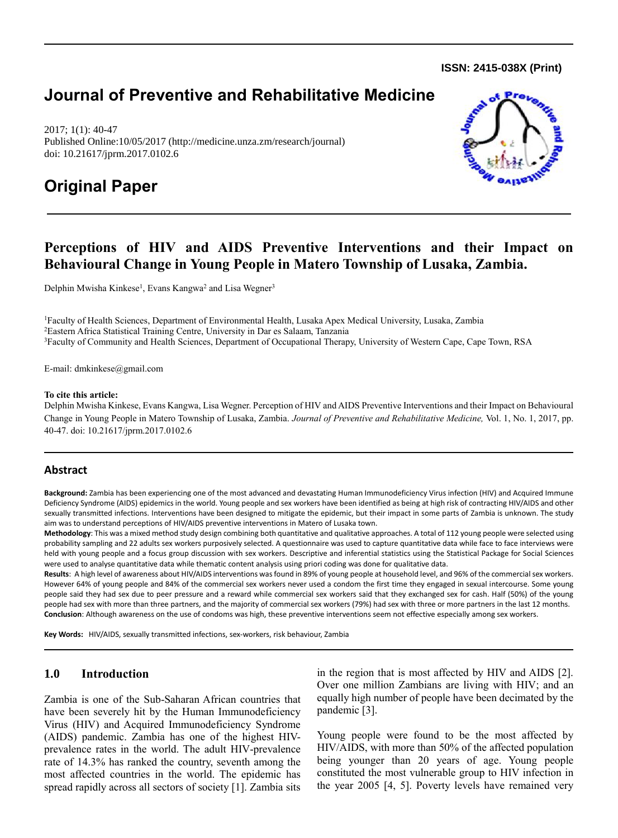**ISSN: 2415-038X (Print)** 

# **Journal of Preventive and Rehabilitative Medicine**

2017; 1(1): 40-47 Published Online:10/05/2017 (http://medicine.unza.zm/research/journal) doi: 10.21617/jprm.2017.0102.6

# **Original Paper**



# **Perceptions of HIV and AIDS Preventive Interventions and their Impact on Behavioural Change in Young People in Matero Township of Lusaka, Zambia.**

Delphin Mwisha Kinkese<sup>1</sup>, Evans Kangwa<sup>2</sup> and Lisa Wegner<sup>3</sup>

<sup>1</sup>Faculty of Health Sciences, Department of Environmental Health, Lusaka Apex Medical University, Lusaka, Zambia <sup>2</sup>Eastern Africa Statistical Training Centre, University in Dar es Salaam, Tanzania <sup>3</sup>Faculty of Community and Health Sciences, Department of Occupational Therapy, University of Western Cape, Cape Town, RSA

E-mail: [dmkinkese@gmail.com](mailto:dmkinkese@gmail.com) 

#### **To cite this article:**

Delphin Mwisha Kinkese, Evans Kangwa, Lisa Wegner. Perception of HIV and AIDS Preventive Interventions and their Impact on Behavioural Change in Young People in Matero Township of Lusaka, Zambia. *Journal of Preventive and Rehabilitative Medicine,* Vol. 1, No. 1, 2017, pp. 40-47. doi: 10.21617/jprm.2017.0102.6

# **Abstract**

**Background:** Zambia has been experiencing one of the most advanced and devastating Human Immunodeficiency Virus infection (HIV) and Acquired Immune Deficiency Syndrome (AIDS) epidemics in the world. Young people and sex workers have been identified as being at high risk of contracting HIV/AIDS and other sexually transmitted infections. Interventions have been designed to mitigate the epidemic, but their impact in some parts of Zambia is unknown. The study aim was to understand perceptions of HIV/AIDS preventive interventions in Matero of Lusaka town.

**Methodology**: This was a mixed method study design combining both quantitative and qualitative approaches. A total of 112 young people were selected using probability sampling and 22 adults sex workers purposively selected. A questionnaire was used to capture quantitative data while face to face interviews were held with young people and a focus group discussion with sex workers. Descriptive and inferential statistics using the Statistical Package for Social Sciences were used to analyse quantitative data while thematic content analysis using priori coding was done for qualitative data.

**Results**: A high level of awareness about HIV/AIDS interventions was found in 89% of young people at household level, and 96% of the commercial sex workers. However 64% of young people and 84% of the commercial sex workers never used a condom the first time they engaged in sexual intercourse. Some young people said they had sex due to peer pressure and a reward while commercial sex workers said that they exchanged sex for cash. Half (50%) of the young people had sex with more than three partners, and the majority of commercial sex workers (79%) had sex with three or more partners in the last 12 months. **Conclusion**: Although awareness on the use of condoms was high, these preventive interventions seem not effective especially among sex workers.

**Key Words:** HIV/AIDS, sexually transmitted infections, sex-workers, risk behaviour, Zambia

# **1.0 Introduction**

Zambia is one of the Sub-Saharan African countries that have been severely hit by the Human Immunodeficiency Virus (HIV) and Acquired Immunodeficiency Syndrome (AIDS) pandemic. Zambia has one of the highest HIVprevalence rates in the world. The adult HIV-prevalence rate of 14.3% has ranked the country, seventh among the most affected countries in the world. The epidemic has spread rapidly across all sectors of society [1]. Zambia sits in the region that is most affected by HIV and AIDS [2]. Over one million Zambians are living with HIV; and an equally high number of people have been decimated by the pandemic [3].

Young people were found to be the most affected by HIV/AIDS, with more than 50% of the affected population being younger than 20 years of age. Young people constituted the most vulnerable group to HIV infection in the year 2005 [4, 5]. Poverty levels have remained very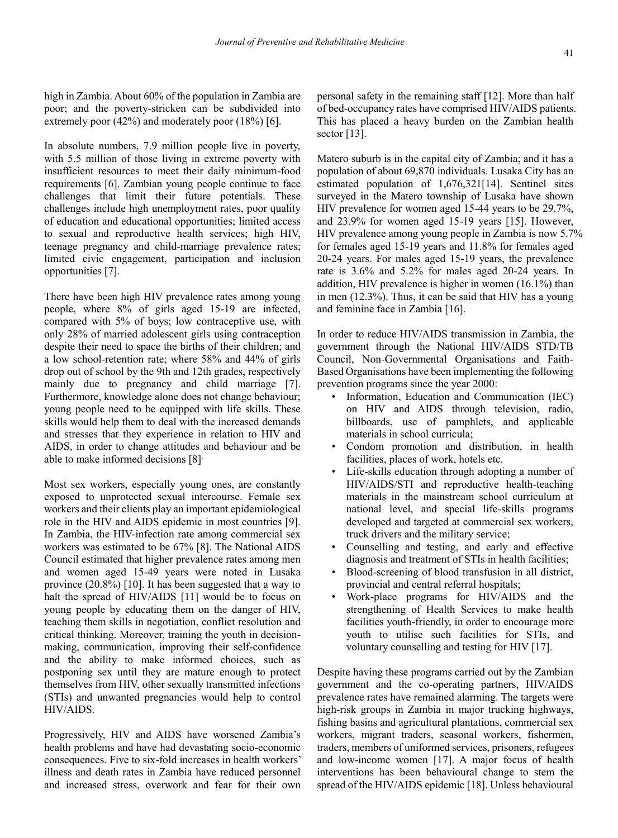high in Zambia. About 60% of the population in Zambia are poor; and the poverty-stricken can be subdivided into extremely poor (42%) and moderately poor (18%) [6].

In absolute numbers, 7.9 million people live in poverty, with 5.5 million of those living in extreme poverty with insufficient resources to meet their daily minimum-food requirements [6]. Zambian young people continue to face challenges that limit their future potentials. These challenges include high unemployment rates, poor quality of education and educational opportunities; limited access to sexual and reproductive health services; high HIV, teenage pregnancy and child-marriage prevalence rates; limited civic engagement, participation and inclusion opportunities [7].

There have been high HIV prevalence rates among young people, where 8% of girls aged 15-19 are infected, compared with 5% of boys; low contraceptive use, with only 28% of married adolescent girls using contraception despite their need to space the births of their children; and a low school-retention rate; where 58% and 44% of girls drop out of school by the 9th and 12th grades, respectively mainly due to pregnancy and child marriage [7]. Furthermore, knowledge alone does not change behaviour; young people need to be equipped with life skills. These skills would help them to deal with the increased demands and stresses that they experience in relation to HIV and AIDS, in order to change attitudes and behaviour and be able to make informed decisions [8].

Most sex workers, especially young ones, are constantly exposed to unprotected sexual intercourse. Female sex workers and their clients play an important epidemiological role in the HIV and AIDS epidemic in most countries [9]. In Zambia, the HIV-infection rate among commercial sex workers was estimated to be 67% [8]. The National AIDS Council estimated that higher prevalence rates among men and women aged 15-49 years were noted in Lusaka province (20.8%) [10]. It has been suggested that a way to halt the spread of HIV/AIDS [11] would be to focus on young people by educating them on the danger of HIV, teaching them skills in negotiation, conflict resolution and critical thinking. Moreover, training the youth in decisionmaking, communication, improving their self-confidence and the ability to make informed choices, such as postponing sex until they are mature enough to protect themselves from HIV, other sexually transmitted infections (STIs) and unwanted pregnancies would help to control HIV/AIDS.

Progressively, HIV and AIDS have worsened Zambia's health problems and have had devastating socio-economic consequences. Five to six-fold increases in health workers' illness and death rates in Zambia have reduced personnel and increased stress, overwork and fear for their own personal safety in the remaining staff [12]. More than half of bed-occupancy rates have comprised HIV/AIDS patients. This has placed a heavy burden on the Zambian health sector [13].

Matero suburb is in the capital city of Zambia; and it has a population of about 69,870 individuals. Lusaka City has an estimated population of 1,676,321[14]. Sentinel sites surveyed in the Matero township of Lusaka have shown HIV prevalence for women aged 15-44 years to be 29.7%, and 23.9% for women aged 15-19 years [15]. However, HIV prevalence among young people in Zambia is now 5.7% for females aged 15-19 years and 11.8% for females aged 20-24 years. For males aged 15-19 years, the prevalence rate is 3.6% and 5.2% for males aged 20-24 years. In addition, HIV prevalence is higher in women (16.1%) than in men (12.3%). Thus, it can be said that HIV has a young and feminine face in Zambia [16].

In order to reduce HIV/AIDS transmission in Zambia, the government through the National HIV/AIDS STD/TB Council, Non-Governmental Organisations and Faith-Based Organisations have been implementing the following prevention programs since the year 2000:

- Information, Education and Communication (IEC) on HIV and AIDS through television, radio, billboards, use of pamphlets, and applicable materials in school curricula;
- Condom promotion and distribution, in health facilities, places of work, hotels etc.
- Life-skills education through adopting a number of HIV/AIDS/STI and reproductive health-teaching materials in the mainstream school curriculum at national level, and special life-skills programs developed and targeted at commercial sex workers, truck drivers and the military service;
- Counselling and testing, and early and effective diagnosis and treatment of STIs in health facilities;
- Blood-screening of blood transfusion in all district, provincial and central referral hospitals;
- Work-place programs for HIV/AIDS and the strengthening of Health Services to make health facilities youth-friendly, in order to encourage more youth to utilise such facilities for STIs, and voluntary counselling and testing for HIV [17].

Despite having these programs carried out by the Zambian government and the co-operating partners, HIV/AIDS prevalence rates have remained alarming. The targets were high-risk groups in Zambia in major trucking highways, fishing basins and agricultural plantations, commercial sex workers, migrant traders, seasonal workers, fishermen, traders, members of uniformed services, prisoners, refugees and low-income women [17]. A major focus of health interventions has been behavioural change to stem the spread of the HIV/AIDS epidemic [18]. Unless behavioural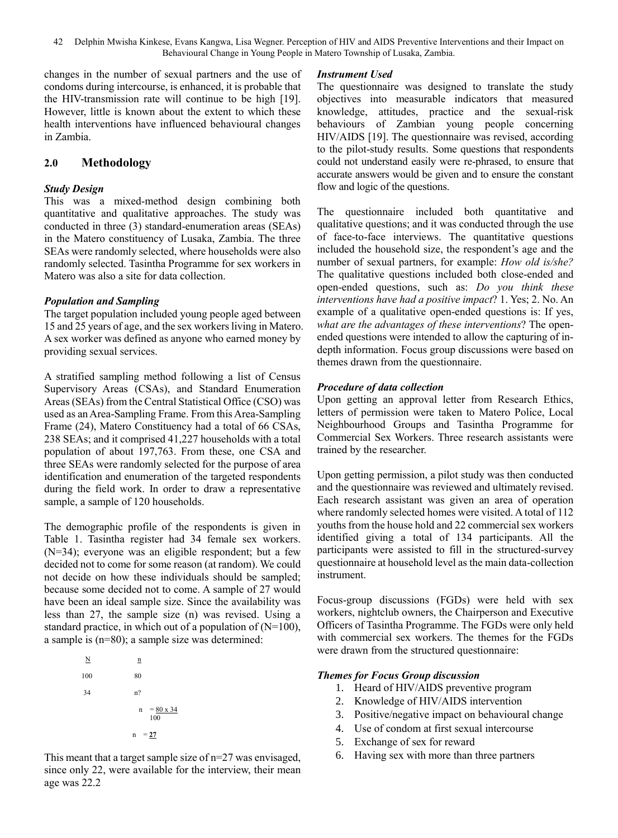42 Delphin Mwisha Kinkese, Evans Kangwa, Lisa Wegner. Perception of HIV and AIDS Preventive Interventions and their Impact on Behavioural Change in Young People in Matero Township of Lusaka, Zambia.

changes in the number of sexual partners and the use of condoms during intercourse, is enhanced, it is probable that the HIV-transmission rate will continue to be high [19]. However, little is known about the extent to which these health interventions have influenced behavioural changes in Zambia.

# **2.0 Methodology**

# *Study Design*

This was a mixed-method design combining both quantitative and qualitative approaches. The study was conducted in three (3) standard-enumeration areas (SEAs) in the Matero constituency of Lusaka, Zambia. The three SEAs were randomly selected, where households were also randomly selected. Tasintha Programme for sex workers in Matero was also a site for data collection.

# *Population and Sampling*

The target population included young people aged between 15 and 25 years of age, and the sex workers living in Matero. A sex worker was defined as anyone who earned money by providing sexual services.

A stratified sampling method following a list of Census Supervisory Areas (CSAs), and Standard Enumeration Areas (SEAs) from the Central Statistical Office (CSO) was used as an Area-Sampling Frame. From this Area-Sampling Frame (24), Matero Constituency had a total of 66 CSAs, 238 SEAs; and it comprised 41,227 households with a total population of about 197,763. From these, one CSA and three SEAs were randomly selected for the purpose of area identification and enumeration of the targeted respondents during the field work. In order to draw a representative sample, a sample of 120 households.

The demographic profile of the respondents is given in Table 1. Tasintha register had 34 female sex workers. (N=34); everyone was an eligible respondent; but a few decided not to come for some reason (at random). We could not decide on how these individuals should be sampled; because some decided not to come. A sample of 27 would have been an ideal sample size. Since the availability was less than 27, the sample size (n) was revised. Using a standard practice, in which out of a population of (N=100), a sample is (n=80); a sample size was determined:

> $N$  n 100 80  $34$ n?  $n = 80 \times 34$  100  $n = 27$

This meant that a target sample size of n=27 was envisaged, since only 22, were available for the interview, their mean age was 22.2

#### *Instrument Used*

The questionnaire was designed to translate the study objectives into measurable indicators that measured knowledge, attitudes, practice and the sexual-risk behaviours of Zambian young people concerning HIV/AIDS [19]. The questionnaire was revised, according to the pilot-study results. Some questions that respondents could not understand easily were re-phrased, to ensure that accurate answers would be given and to ensure the constant flow and logic of the questions.

The questionnaire included both quantitative and qualitative questions; and it was conducted through the use of face-to-face interviews. The quantitative questions included the household size, the respondent's age and the number of sexual partners, for example: *How old is/she?* The qualitative questions included both close-ended and open-ended questions, such as: *Do you think these interventions have had a positive impact*? 1. Yes; 2. No. An example of a qualitative open-ended questions is: If yes, *what are the advantages of these interventions*? The openended questions were intended to allow the capturing of indepth information. Focus group discussions were based on themes drawn from the questionnaire.

# *Procedure of data collection*

Upon getting an approval letter from Research Ethics, letters of permission were taken to Matero Police, Local Neighbourhood Groups and Tasintha Programme for Commercial Sex Workers. Three research assistants were trained by the researcher.

Upon getting permission, a pilot study was then conducted and the questionnaire was reviewed and ultimately revised. Each research assistant was given an area of operation where randomly selected homes were visited. A total of 112 youths from the house hold and 22 commercial sex workers identified giving a total of 134 participants. All the participants were assisted to fill in the structured-survey questionnaire at household level as the main data-collection instrument.

Focus-group discussions (FGDs) were held with sex workers, nightclub owners, the Chairperson and Executive Officers of Tasintha Programme. The FGDs were only held with commercial sex workers. The themes for the FGDs were drawn from the structured questionnaire:

# *Themes for Focus Group discussion*

- 1. Heard of HIV/AIDS preventive program
- 2. Knowledge of HIV/AIDS intervention
- 3. Positive/negative impact on behavioural change
- 4. Use of condom at first sexual intercourse
- 5. Exchange of sex for reward
- 6. Having sex with more than three partners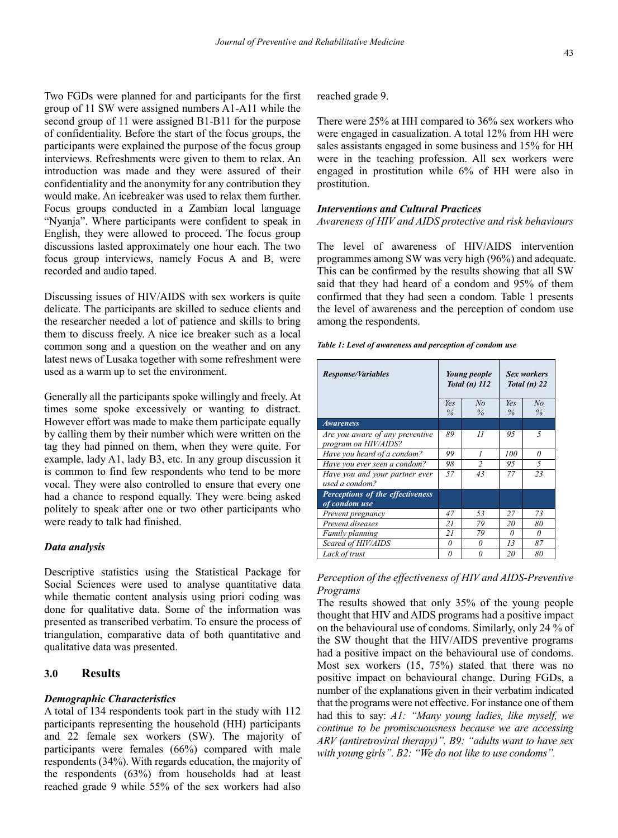Two FGDs were planned for and participants for the first group of 11 SW were assigned numbers A1-A11 while the second group of 11 were assigned B1-B11 for the purpose of confidentiality. Before the start of the focus groups, the participants were explained the purpose of the focus group interviews. Refreshments were given to them to relax. An introduction was made and they were assured of their confidentiality and the anonymity for any contribution they would make. An icebreaker was used to relax them further. Focus groups conducted in a Zambian local language "Nyanja". Where participants were confident to speak in English, they were allowed to proceed. The focus group discussions lasted approximately one hour each. The two focus group interviews, namely Focus A and B, were recorded and audio taped.

Discussing issues of HIV/AIDS with sex workers is quite delicate. The participants are skilled to seduce clients and the researcher needed a lot of patience and skills to bring them to discuss freely. A nice ice breaker such as a local common song and a question on the weather and on any latest news of Lusaka together with some refreshment were used as a warm up to set the environment.

Generally all the participants spoke willingly and freely. At times some spoke excessively or wanting to distract. However effort was made to make them participate equally by calling them by their number which were written on the tag they had pinned on them, when they were quite. For example, lady A1, lady B3, etc. In any group discussion it is common to find few respondents who tend to be more vocal. They were also controlled to ensure that every one had a chance to respond equally. They were being asked politely to speak after one or two other participants who were ready to talk had finished.

# *Data analysis*

Descriptive statistics using the Statistical Package for Social Sciences were used to analyse quantitative data while thematic content analysis using priori coding was done for qualitative data. Some of the information was presented as transcribed verbatim. To ensure the process of triangulation, comparative data of both quantitative and qualitative data was presented.

# **3.0 Results**

#### *Demographic Characteristics*

A total of 134 respondents took part in the study with 112 participants representing the household (HH) participants and 22 female sex workers (SW). The majority of participants were females (66%) compared with male respondents (34%). With regards education, the majority of the respondents (63%) from households had at least reached grade 9 while 55% of the sex workers had also reached grade 9.

There were 25% at HH compared to 36% sex workers who were engaged in casualization. A total 12% from HH were sales assistants engaged in some business and 15% for HH were in the teaching profession. All sex workers were engaged in prostitution while 6% of HH were also in prostitution.

#### *Interventions and Cultural Practices*

#### *Awareness of HIV and AIDS protective and risk behaviours*

The level of awareness of HIV/AIDS intervention programmes among SW was very high (96%) and adequate. This can be confirmed by the results showing that all SW said that they had heard of a condom and 95% of them confirmed that they had seen a condom. Table 1 presents the level of awareness and the perception of condom use among the respondents.

| <b>Response/Variables</b>                               |             | Young people<br>Total $(n)$ 112 | <b>Sex workers</b><br>Total $(n)$ 22 |            |
|---------------------------------------------------------|-------------|---------------------------------|--------------------------------------|------------|
|                                                         | Yes<br>$\%$ | No<br>$\%$                      | Yes<br>$\%$                          | No<br>$\%$ |
| <b>Awareness</b>                                        |             |                                 |                                      |            |
| Are you aware of any preventive<br>program on HIV/AIDS? | 89          | $_{II}$                         | 95                                   | 5          |
| Have you heard of a condom?                             | 99          |                                 | 100                                  | 0          |
| Have you ever seen a condom?                            | 98          | $\mathfrak{D}$                  | 95                                   | 5          |
| Have you and your partner ever<br>used a condom?        | 57          | 43                              | 77                                   | 23         |
| Perceptions of the effectiveness<br>of condom use       |             |                                 |                                      |            |
| Prevent pregnancy                                       | 47          | 53                              | 27                                   | 73         |
| Prevent diseases                                        | 21          | 79                              | 20                                   | 80         |
| Family planning                                         | 21          | 79                              | $\theta$                             | $\theta$   |
| Scared of HIV/AIDS                                      | 0           | <sup>0</sup>                    | 13                                   | 87         |
| Lack of trust                                           | O           | O                               | 20                                   | 80         |

# *Perception of the effectiveness of HIV and AIDS-Preventive Programs*

The results showed that only 35% of the young people thought that HIV and AIDS programs had a positive impact on the behavioural use of condoms. Similarly, only 24 % of the SW thought that the HIV/AIDS preventive programs had a positive impact on the behavioural use of condoms. Most sex workers (15, 75%) stated that there was no positive impact on behavioural change. During FGDs, a number of the explanations given in their verbatim indicated that the programs were not effective. For instance one of them had this to say: *A1: "Many young ladies, like myself, we continue to be promiscuousness because we are accessing ARV (antiretroviral therapy)". B9: "adults want to have sex with young girls". B2: "We do not like to use condoms".*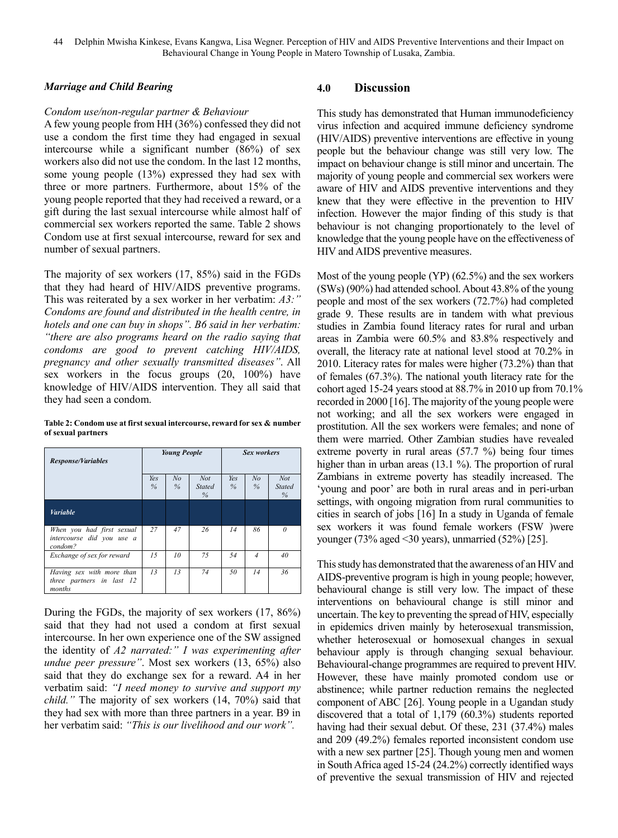# *Marriage and Child Bearing*

#### *Condom use/non-regular partner & Behaviour*

A few young people from HH (36%) confessed they did not use a condom the first time they had engaged in sexual intercourse while a significant number (86%) of sex workers also did not use the condom. In the last 12 months, some young people (13%) expressed they had sex with three or more partners. Furthermore, about 15% of the young people reported that they had received a reward, or a gift during the last sexual intercourse while almost half of commercial sex workers reported the same. Table 2 shows Condom use at first sexual intercourse, reward for sex and number of sexual partners.

The majority of sex workers (17, 85%) said in the FGDs that they had heard of HIV/AIDS preventive programs. This was reiterated by a sex worker in her verbatim: *A3:" Condoms are found and distributed in the health centre, in hotels and one can buy in shops". B6 said in her verbatim: "there are also programs heard on the radio saying that condoms are good to prevent catching HIV/AIDS, pregnancy and other sexually transmitted diseases"*. All sex workers in the focus groups (20, 100%) have knowledge of HIV/AIDS intervention. They all said that they had seen a condom.

**Table 2: Condom use at first sexual intercourse, reward for sex & number of sexual partners**

|                                                                               | <b>Young People</b> |                        |                                     | <b>Sex workers</b> |                     |                                     |
|-------------------------------------------------------------------------------|---------------------|------------------------|-------------------------------------|--------------------|---------------------|-------------------------------------|
| <b>Response/Variables</b>                                                     |                     |                        |                                     |                    |                     |                                     |
|                                                                               | Yes<br>%            | N <sub>o</sub><br>$\%$ | <b>Not</b><br><b>Stated</b><br>$\%$ | Yes<br>$\%$        | N <sub>o</sub><br>% | <b>Not</b><br><b>Stated</b><br>$\%$ |
| <b>Variable</b>                                                               |                     |                        |                                     |                    |                     |                                     |
| When you had first sexual<br>intercourse did you use a<br>condom <sup>2</sup> | 27                  | 47                     | 26                                  | 14                 | 86                  | $\theta$                            |
| Exchange of sex for reward                                                    | 1.5                 | 10                     | 75                                  | 54                 | $\overline{4}$      | 40                                  |
| Having sex with more than<br>three partners in last 12<br>months              | 13                  | 13                     | 74                                  | 50                 | 14                  | 36                                  |

During the FGDs, the majority of sex workers (17, 86%) said that they had not used a condom at first sexual intercourse. In her own experience one of the SW assigned the identity of *A2 narrated:" I was experimenting after undue peer pressure"*. Most sex workers (13, 65%) also said that they do exchange sex for a reward. A4 in her verbatim said: *"I need money to survive and support my child."* The majority of sex workers (14, 70%) said that they had sex with more than three partners in a year. B9 in her verbatim said: *"This is our livelihood and our work".*

# **4.0 Discussion**

This study has demonstrated that Human immunodeficiency virus infection and acquired immune deficiency syndrome (HIV/AIDS) preventive interventions are effective in young people but the behaviour change was still very low. The impact on behaviour change is still minor and uncertain. The majority of young people and commercial sex workers were aware of HIV and AIDS preventive interventions and they knew that they were effective in the prevention to HIV infection. However the major finding of this study is that behaviour is not changing proportionately to the level of knowledge that the young people have on the effectiveness of HIV and AIDS preventive measures.

Most of the young people (YP) (62.5%) and the sex workers (SWs) (90%) had attended school. About 43.8% of the young people and most of the sex workers (72.7%) had completed grade 9. These results are in tandem with what previous studies in Zambia found literacy rates for rural and urban areas in Zambia were 60.5% and 83.8% respectively and overall, the literacy rate at national level stood at 70.2% in 2010. Literacy rates for males were higher (73.2%) than that of females (67.3%). The national youth literacy rate for the cohort aged 15-24 years stood at 88.7% in 2010 up from 70.1% recorded in 2000 [16]. The majority of the young people were not working; and all the sex workers were engaged in prostitution. All the sex workers were females; and none of them were married. Other Zambian studies have revealed extreme poverty in rural areas (57.7 %) being four times higher than in urban areas (13.1 %). The proportion of rural Zambians in extreme poverty has steadily increased. The 'young and poor' are both in rural areas and in peri-urban settings, with ongoing migration from rural communities to cities in search of jobs [16] In a study in Uganda of female sex workers it was found female workers (FSW )were younger (73% aged <30 years), unmarried (52%) [25].

This study has demonstrated that the awareness of an HIV and AIDS-preventive program is high in young people; however, behavioural change is still very low. The impact of these interventions on behavioural change is still minor and uncertain. The key to preventing the spread of HIV, especially in epidemics driven mainly by heterosexual transmission, whether heterosexual or homosexual changes in sexual behaviour apply is through changing sexual behaviour. Behavioural-change programmes are required to prevent HIV. However, these have mainly promoted condom use or abstinence; while partner reduction remains the neglected component of ABC [26]. Young people in a Ugandan study discovered that a total of 1,179 (60.3%) students reported having had their sexual debut. Of these, 231 (37.4%) males and 209 (49.2%) females reported inconsistent condom use with a new sex partner [25]. Though young men and women in South Africa aged 15-24 (24.2%) correctly identified ways of preventive the sexual transmission of HIV and rejected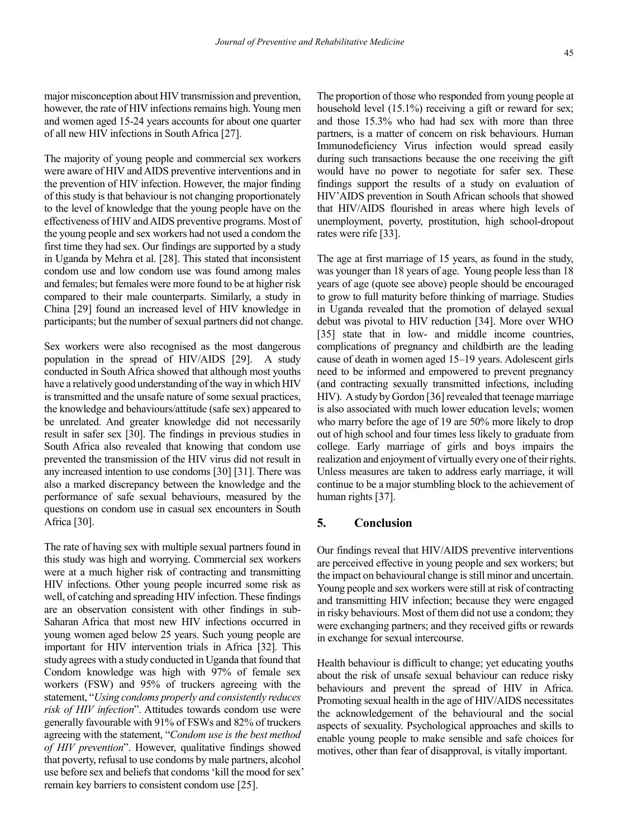major misconception about HIV transmission and prevention, however, the rate of HIV infections remains high. Young men and women aged 15-24 years accounts for about one quarter of all new HIV infections in South Africa [27].

The majority of young people and commercial sex workers were aware of HIV and AIDS preventive interventions and in the prevention of HIV infection. However, the major finding of this study is that behaviour is not changing proportionately to the level of knowledge that the young people have on the effectiveness of HIV and AIDS preventive programs. Most of the young people and sex workers had not used a condom the first time they had sex. Our findings are supported by a study in Uganda by Mehra et al. [28]. This stated that inconsistent condom use and low condom use was found among males and females; but females were more found to be at higher risk compared to their male counterparts. Similarly, a study in China [29] found an increased level of HIV knowledge in participants; but the number of sexual partners did not change.

Sex workers were also recognised as the most dangerous population in the spread of HIV/AIDS [29]. A study conducted in South Africa showed that although most youths have a relatively good understanding of the way in which HIV is transmitted and the unsafe nature of some sexual practices, the knowledge and behaviours/attitude (safe sex) appeared to be unrelated. And greater knowledge did not necessarily result in safer sex [30]. The findings in previous studies in South Africa also revealed that knowing that condom use prevented the transmission of the HIV virus did not result in any increased intention to use condoms [30] [31]. There was also a marked discrepancy between the knowledge and the performance of safe sexual behaviours, measured by the questions on condom use in casual sex encounters in South Africa [30].

The rate of having sex with multiple sexual partners found in this study was high and worrying. Commercial sex workers were at a much higher risk of contracting and transmitting HIV infections. Other young people incurred some risk as well, of catching and spreading HIV infection. These findings are an observation consistent with other findings in sub-Saharan Africa that most new HIV infections occurred in young women aged below 25 years. Such young people are important for HIV intervention trials in Africa [32]. This study agrees with a study conducted in Uganda that found that Condom knowledge was high with 97% of female sex workers (FSW) and 95% of truckers agreeing with the statement, "*Using condoms properly and consistently reduces risk of HIV infection*". Attitudes towards condom use were generally favourable with 91% of FSWs and 82% of truckers agreeing with the statement, "*Condom use is the best method of HIV prevention*". However, qualitative findings showed that poverty, refusal to use condoms by male partners, alcohol use before sex and beliefs that condoms 'kill the mood for sex' remain key barriers to consistent condom use [25].

The proportion of those who responded from young people at household level (15.1%) receiving a gift or reward for sex; and those 15.3% who had had sex with more than three partners, is a matter of concern on risk behaviours. Human Immunodeficiency Virus infection would spread easily during such transactions because the one receiving the gift would have no power to negotiate for safer sex. These findings support the results of a study on evaluation of HIV'AIDS prevention in South African schools that showed that HIV/AIDS flourished in areas where high levels of unemployment, poverty, prostitution, high school-dropout rates were rife [33].

The age at first marriage of 15 years, as found in the study, was younger than 18 years of age. Young people less than 18 years of age (quote see above) people should be encouraged to grow to full maturity before thinking of marriage. Studies in Uganda revealed that the promotion of delayed sexual debut was pivotal to HIV reduction [34]. More over WHO [35] state that in low- and middle income countries, complications of pregnancy and childbirth are the leading cause of death in women aged 15–19 years. Adolescent girls need to be informed and empowered to prevent pregnancy (and contracting sexually transmitted infections, including HIV). A study by Gordon [36] revealed that teenage marriage is also associated with much lower education levels; women who marry before the age of 19 are 50% more likely to drop out of high school and four times less likely to graduate from college. Early marriage of girls and boys impairs the realization and enjoyment of virtually every one of their rights. Unless measures are taken to address early marriage, it will continue to be a major stumbling block to the achievement of human rights [37].

# **5. Conclusion**

Our findings reveal that HIV/AIDS preventive interventions are perceived effective in young people and sex workers; but the impact on behavioural change is still minor and uncertain. Young people and sex workers were still at risk of contracting and transmitting HIV infection; because they were engaged in risky behaviours. Most of them did not use a condom; they were exchanging partners; and they received gifts or rewards in exchange for sexual intercourse.

Health behaviour is difficult to change; yet educating youths about the risk of unsafe sexual behaviour can reduce risky behaviours and prevent the spread of HIV in Africa. Promoting sexual health in the age of HIV/AIDS necessitates the acknowledgement of the behavioural and the social aspects of sexuality. Psychological approaches and skills to enable young people to make sensible and safe choices for motives, other than fear of disapproval, is vitally important.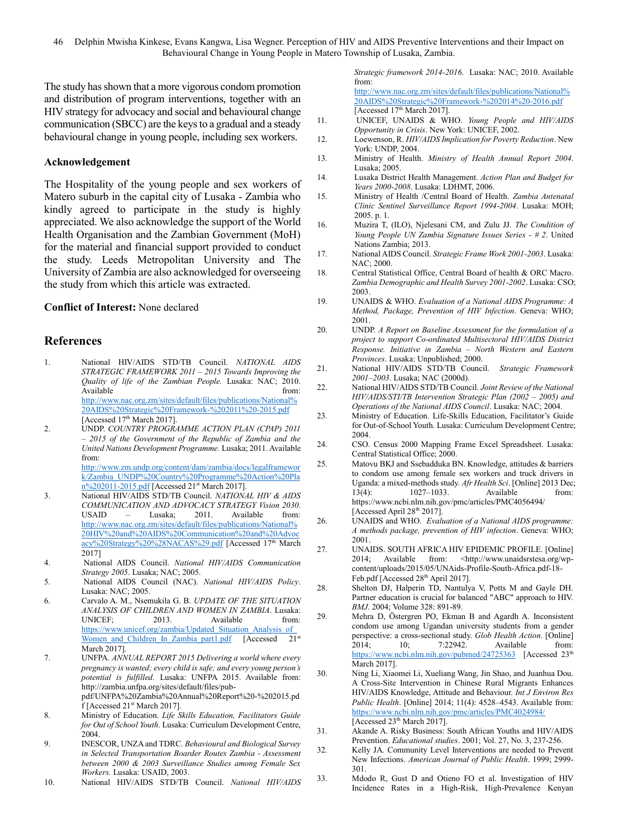The study has shown that a more vigorous condom promotion and distribution of program interventions, together with an HIV strategy for advocacy and social and behavioural change communication (SBCC) are the keys to a gradual and a steady behavioural change in young people, including sex workers.

# **Acknowledgement**

The Hospitality of the young people and sex workers of Matero suburb in the capital city of Lusaka - Zambia who kindly agreed to participate in the study is highly appreciated. We also acknowledge the support of the World Health Organisation and the Zambian Government (MoH) for the material and financial support provided to conduct the study. Leeds Metropolitan University and The University of Zambia are also acknowledged for overseeing the study from which this article was extracted.

# **Conflict of Interest:** None declared

# **References**

- 1. National HIV/AIDS STD/TB Council. *NATIONAL AIDS STRATEGIC FRAMEWORK 2011 – 2015 Towards Improving the Quality of life of the Zambian People.* Lusaka: NAC; 2010. Available from: the from: the from: the from: the from: the from: the from: the from: the from: the from: the from: the from: the from: the from: the from: the from: the from: the from: the from: the from: the from: the fr [http://www.nac.org.zm/sites/default/files/publications/National%](http://www.nac.org.zm/sites/default/files/publications/National%20AIDS%20Strategic%20Framework-%202011%20-2015.pdf) [20AIDS%20Strategic%20Framework-%202011%20-2015.pdf](http://www.nac.org.zm/sites/default/files/publications/National%20AIDS%20Strategic%20Framework-%202011%20-2015.pdf) [Accessed 17th March 2017].
- 2. UNDP. *COUNTRY PROGRAMME ACTION PLAN (CPAP) 2011 – 2015 of the Government of the Republic of Zambia and the United Nations Development Programme.* Lusaka; 2011. Available from:

[http://www.zm.undp.org/content/dam/zambia/docs/legalframewor](http://www.zm.undp.org/content/dam/zambia/docs/legalframework/Zambia_UNDP%20Country%20Programme%20Action%20Plan%202011-2015.pdf) [k/Zambia\\_UNDP%20Country%20Programme%20Action%20Pla](http://www.zm.undp.org/content/dam/zambia/docs/legalframework/Zambia_UNDP%20Country%20Programme%20Action%20Plan%202011-2015.pdf) [n%202011-2015.pdf](http://www.zm.undp.org/content/dam/zambia/docs/legalframework/Zambia_UNDP%20Country%20Programme%20Action%20Plan%202011-2015.pdf) [Accessed 21<sup>st</sup> March 2017].

- 3. National HIV/AIDS STD/TB Council. *NATIONAL HIV & AIDS COMMUNICATION AND ADVOCACY STRATEGY Vision 2030*. USAID – Lusaka; 2011. Available from: [http://www.nac.org.zm/sites/default/files/publications/National%](http://www.nac.org.zm/sites/default/files/publications/National%20HIV%20and%20AIDS%20Communication%20and%20Advocacy%20Strategy%20%28NACAS%29.pdf) [20HIV%20and%20AIDS%20Communication%20and%20Advoc](http://www.nac.org.zm/sites/default/files/publications/National%20HIV%20and%20AIDS%20Communication%20and%20Advocacy%20Strategy%20%28NACAS%29.pdf) [acy%20Strategy%20%28NACAS%29.pdf](http://www.nac.org.zm/sites/default/files/publications/National%20HIV%20and%20AIDS%20Communication%20and%20Advocacy%20Strategy%20%28NACAS%29.pdf) [Accessed 17<sup>th</sup> March 2017]
- 4. National AIDS Council. *National HIV/AIDS Communication Strategy 2005*. Lusaka; NAC; 2005.
- 5. National AIDS Council (NAC). *National HIV/AIDS Policy*. Lusaka: NAC; 2005.
- 6. Carvalo A. M., Nsemukila G. B. *UPDATE OF THE SITUATION ANALYSIS OF CHILDREN AND WOMEN IN ZAMBIA*. Lusaka: UNICEF; 2013. Available from: [https://www.unicef.org/zambia/Updated\\_Situation\\_Analysis\\_of\\_](https://www.unicef.org/zambia/Updated_Situation_Analysis_of_Women_and_Children_In_Zambia_part1.pdf) Women and Children In Zambia part1.pdf [Accessed 21st March 2017].
- 7. UNFPA. *ANNUAL REPORT 2015 Delivering a world where every pregnancy is wanted; every child is safe; and every young person's potential is fulfilled.* Lusaka: UNFPA 2015. Available from: http://zambia.unfpa.org/sites/default/files/pubpdf/UNFPA%20Zambia%20Annual%20Report%20-%202015.pd f [Accessed 21st March 2017].
- 8. Ministry of Education. *Life Skills Education, Facilitators Guide for Out of School Youth*. Lusaka: Curriculum Development Centre, 2004.
- 9. INESCOR, UNZA and TDRC. *Behavioural and Biological Survey in Selected Transportation Boarder Routes Zambia - Assessment between 2000 & 2003 Surveillance Studies among Female Sex Workers.* Lusaka: USAID, 2003.
- 10. National HIV/AIDS STD/TB Council. *National HIV/AIDS*

*Strategic framework 2014-2016*. Lusaka: NAC; 2010. Available from: [http://www.nac.org.zm/sites/default/files/publications/National%](http://www.nac.org.zm/sites/default/files/publications/National%20AIDS%20Strategic%20Framework-%202014%20-2016.pdf)

- [20AIDS%20Strategic%20Framework-%202014%20-2016.pdf](http://www.nac.org.zm/sites/default/files/publications/National%20AIDS%20Strategic%20Framework-%202014%20-2016.pdf) [Accessed 17<sup>th</sup> March 2017].
- 11. UNICEF, UNAIDS & WHO. *Young People and HIV/AIDS Opportunity in Crisis*. New York: UNICEF, 2002.
- 12. Loewenson, R. *HIV/AIDS Implication for Poverty Reduction*. New York: UNDP, 2004.
- 13. Ministry of Health. *Ministry of Health Annual Report 2004*. Lusaka; 2005.
- 14. Lusaka District Health Management. *Action Plan and Budget for Years 2000-2008*. Lusaka: LDHMT, 2006.
- 15. Ministry of Health /Central Board of Health. *Zambia Antenatal Clinic Sentinel Surveillance Report 1994-2004*. Lusaka: MOH; 2005. p. 1.
- 16. Muzira T, (ILO), Njelesani CM, and Zulu JJ. *The Condition of Young People UN Zambia Signature Issues Series - # 2*. United Nations Zambia; 2013.
- 17. National AIDS Council. *Strategic Frame Work 2001-2003*. Lusaka: NAC; 2000.
- 18. Central Statistical Office, Central Board of health & ORC Macro. *Zambia Demographic and Health Survey 2001-2002*. Lusaka: CSO; 2003.
- 19. UNAIDS & WHO. *Evaluation of a National AIDS Programme: A Method, Package, Prevention of HIV Infection*. Geneva: WHO; 2001.
- 20. UNDP. *A Report on Baseline Assessment for the formulation of a project to support Co-ordinated Multisectoral HIV/AIDS District Response. Initiative in Zambia – North Western and Eastern Provinces*. Lusaka: Unpublished; 2000.
- 21. National HIV/AIDS STD/TB Council. *Strategic Framework 2001–2003*. Lusaka; NAC (2000d).
- 22. National HIV/AIDS STD/TB Council. *Joint Review of the National HIV/AIDS/STI/TB Intervention Strategic Plan (2002 – 2005) and Operations of the National AIDS Council*. Lusaka: NAC; 2004.
- 23. Ministry of Education. Life-Skills Education, Facilitator's Guide for Out-of-School Youth. Lusaka: Curriculum Development Centre; 2004.
- 24. CSO. Census 2000 Mapping Frame Excel Spreadsheet. Lusaka: Central Statistical Office; 2000.
- 25. Matovu BKJ and Ssebadduka BN. Knowledge, attitudes & barriers to condom use among female sex workers and truck drivers in Uganda: a mixed-methods study. *Afr Health Sci*. [Online] 2013 Dec; 13(4): 1027–1033. Available from: <https://www.ncbi.nlm.nih.gov/pmc/articles/PMC4056494/> [Accessed April 28<sup>th</sup> 2017].
- 26. UNAIDS and WHO. *Evaluation of a National AIDS programme: A methods package, prevention of HIV infection*. Geneva: WHO; 2001.
- 27. UNAIDS. SOUTH AFRICA HIV EPIDEMIC PROFILE. [Online] 2014; Available from: [<http://www.unaidsrstesa.org/wp](http://www.unaidsrstesa.org/wp-content/uploads/2015/05/UNAids-Profile-South-Africa.pdf-18-Feb.pdf)[content/uploads/2015/05/UNAids-Profile-South-Africa.pdf-18-](http://www.unaidsrstesa.org/wp-content/uploads/2015/05/UNAids-Profile-South-Africa.pdf-18-Feb.pdf) [Feb.pdf](http://www.unaidsrstesa.org/wp-content/uploads/2015/05/UNAids-Profile-South-Africa.pdf-18-Feb.pdf) [Accessed 28<sup>th</sup> April 2017].
- 28. Shelton DJ, Halperin TD, Nantulya V, Potts M and Gayle DH. Partner education is crucial for balanced "ABC" approach to HIV. *BMJ*. 2004; Volume 328: 891-89.
- 29. Mehra D, Östergren PO, Ekman B and Agardh A. Inconsistent condom use among Ugandan university students from a gender perspective: a cross-sectional study. *Glob Health Action*. [Online] 2014: 10: 7:22942. Available from: 2014; 10; 7:22942. Available from: <https://www.ncbi.nlm.nih.gov/pubmed/24725363>[Accessed 23<sup>th</sup> March 2017].
- 30. Ning Li, Xiaomei Li, Xueliang Wang, Jin Shao, and Juanhua Dou. A Cross-Site Intervention in Chinese Rural Migrants Enhances HIV/AIDS Knowledge, Attitude and Behaviour. *Int J Environ Res Public Health*. [Online] 2014; 11(4): 4528–4543. Available from: <https://www.ncbi.nlm.nih.gov/pmc/articles/PMC4024984/> [Accessed 23<sup>th</sup> March 2017].
- 31. Akande A. Risky Business: South African Youths and HIV/AIDS Prevention. *Educational studies*. 2001; Vol. 27, No. 3, 237-256.
- 32. Kelly JA. Community Level Interventions are needed to Prevent New Infections. *American Journal of Public Health*. 1999; 2999- 301.
- 33. Mdodo R, Gust D and Otieno FO et al. Investigation of HIV Incidence Rates in a High-Risk, High-Prevalence Kenyan